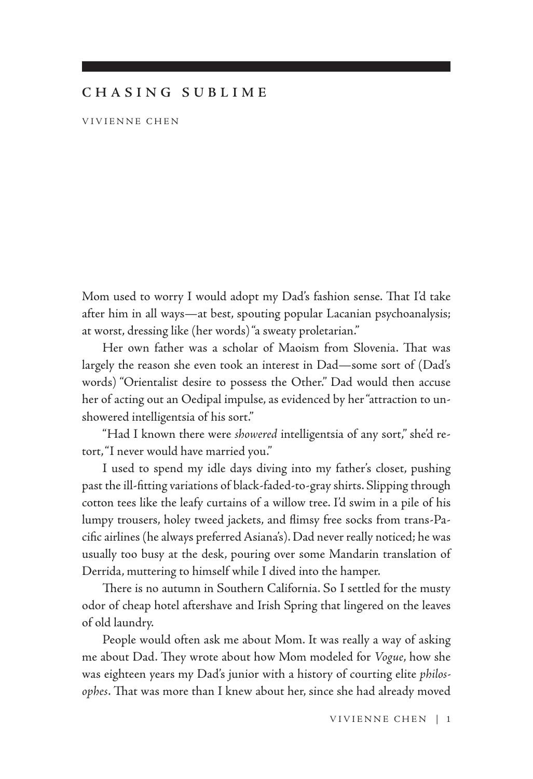## **CHASING SUBLIME**

VIVIENNE CHEN

Mom used to worry I would adopt my Dad's fashion sense. That I'd take after him in all ways—at best, spouting popular Lacanian psychoanalysis; at worst, dressing like (her words) "a sweaty proletarian."

Her own father was a scholar of Maoism from Slovenia. That was largely the reason she even took an interest in Dad—some sort of (Dad's words) "Orientalist desire to possess the Other." Dad would then accuse her of acting out an Oedipal impulse, as evidenced by her "attraction to unshowered intelligentsia of his sort."

"Had I known there were *showered* intelligentsia of any sort," she'd retort, "I never would have married you."

I used to spend my idle days diving into my father's closet, pushing past the ill-fitting variations of black-faded-to-gray shirts. Slipping through cotton tees like the leafy curtains of a willow tree. I'd swim in a pile of his lumpy trousers, holey tweed jackets, and flimsy free socks from trans-Pacific airlines (he always preferred Asiana's). Dad never really noticed; he was usually too busy at the desk, pouring over some Mandarin translation of Derrida, muttering to himself while I dived into the hamper.

There is no autumn in Southern California. So I settled for the musty odor of cheap hotel aftershave and Irish Spring that lingered on the leaves of old laundry.

People would often ask me about Mom. It was really a way of asking me about Dad. They wrote about how Mom modeled for *Vogue*, how she was eighteen years my Dad's junior with a history of courting elite *philosophes*. That was more than I knew about her, since she had already moved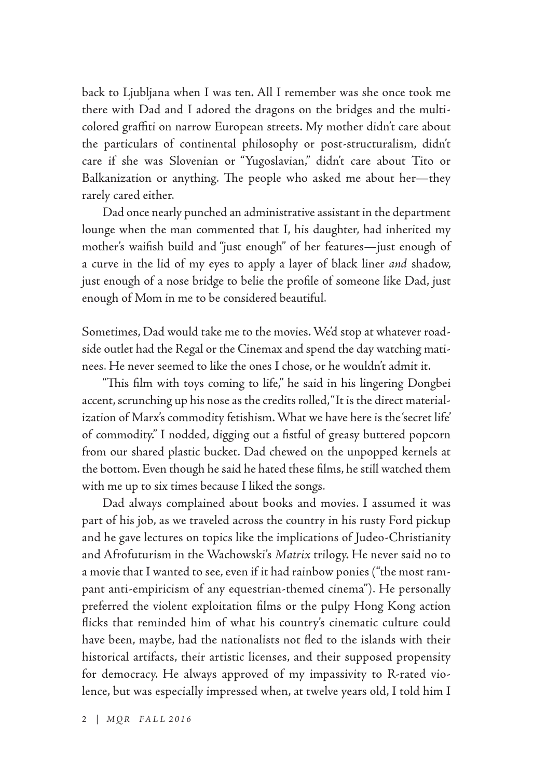back to Ljubljana when I was ten. All I remember was she once took me there with Dad and I adored the dragons on the bridges and the multicolored graffiti on narrow European streets. My mother didn't care about the particulars of continental philosophy or post-structuralism, didn't care if she was Slovenian or "Yugoslavian," didn't care about Tito or Balkanization or anything. The people who asked me about her—they rarely cared either.

Dad once nearly punched an administrative assistant in the department lounge when the man commented that I, his daughter, had inherited my mother's waifish build and "just enough" of her features—just enough of a curve in the lid of my eyes to apply a layer of black liner *and* shadow, just enough of a nose bridge to belie the profile of someone like Dad, just enough of Mom in me to be considered beautiful.

Sometimes, Dad would take me to the movies. We'd stop at whatever roadside outlet had the Regal or the Cinemax and spend the day watching matinees. He never seemed to like the ones I chose, or he wouldn't admit it.

"This film with toys coming to life," he said in his lingering Dongbei accent, scrunching up his nose as the credits rolled, "It is the direct materialization of Marx's commodity fetishism. What we have here is the 'secret life' of commodity." I nodded, digging out a fistful of greasy buttered popcorn from our shared plastic bucket. Dad chewed on the unpopped kernels at the bottom. Even though he said he hated these films, he still watched them with me up to six times because I liked the songs.

Dad always complained about books and movies. I assumed it was part of his job, as we traveled across the country in his rusty Ford pickup and he gave lectures on topics like the implications of Judeo-Christianity and Afrofuturism in the Wachowski's *Matrix* trilogy. He never said no to a movie that I wanted to see, even if it had rainbow ponies ("the most rampant anti-empiricism of any equestrian-themed cinema"). He personally preferred the violent exploitation films or the pulpy Hong Kong action flicks that reminded him of what his country's cinematic culture could have been, maybe, had the nationalists not fled to the islands with their historical artifacts, their artistic licenses, and their supposed propensity for democracy. He always approved of my impassivity to R-rated violence, but was especially impressed when, at twelve years old, I told him I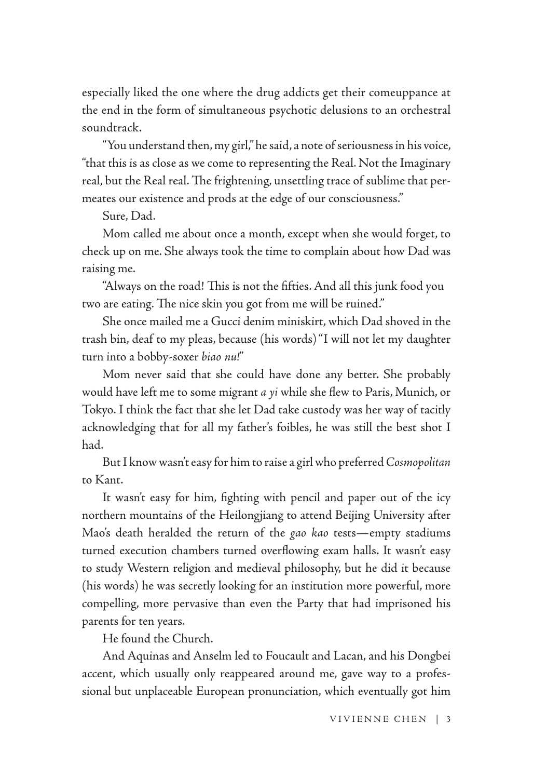especially liked the one where the drug addicts get their comeuppance at the end in the form of simultaneous psychotic delusions to an orchestral soundtrack.

"You understand then, my girl," he said, a note of seriousness in his voice, "that this is as close as we come to representing the Real. Not the Imaginary real, but the Real real. The frightening, unsettling trace of sublime that permeates our existence and prods at the edge of our consciousness."

Sure, Dad.

Mom called me about once a month, except when she would forget, to check up on me. She always took the time to complain about how Dad was raising me.

"Always on the road! This is not the fifties. And all this junk food you two are eating. The nice skin you got from me will be ruined."

She once mailed me a Gucci denim miniskirt, which Dad shoved in the trash bin, deaf to my pleas, because (his words) "I will not let my daughter turn into a bobby-soxer *biao nu!*"

Mom never said that she could have done any better. She probably would have left me to some migrant *a yi* while she flew to Paris, Munich, or Tokyo. I think the fact that she let Dad take custody was her way of tacitly acknowledging that for all my father's foibles, he was still the best shot I had.

But I know wasn't easy for him to raise a girl who preferred *Cosmopolitan* to Kant.

It wasn't easy for him, fighting with pencil and paper out of the icy northern mountains of the Heilongjiang to attend Beijing University after Mao's death heralded the return of the *gao kao* tests—empty stadiums turned execution chambers turned overflowing exam halls. It wasn't easy to study Western religion and medieval philosophy, but he did it because (his words) he was secretly looking for an institution more powerful, more compelling, more pervasive than even the Party that had imprisoned his parents for ten years.

He found the Church.

And Aquinas and Anselm led to Foucault and Lacan, and his Dongbei accent, which usually only reappeared around me, gave way to a professional but unplaceable European pronunciation, which eventually got him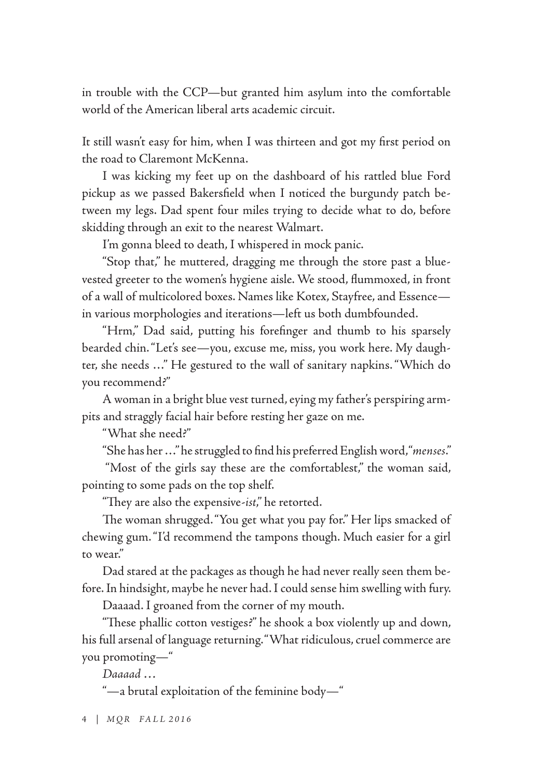in trouble with the CCP—but granted him asylum into the comfortable world of the American liberal arts academic circuit.

It still wasn't easy for him, when I was thirteen and got my first period on the road to Claremont McKenna.

I was kicking my feet up on the dashboard of his rattled blue Ford pickup as we passed Bakersfield when I noticed the burgundy patch between my legs. Dad spent four miles trying to decide what to do, before skidding through an exit to the nearest Walmart.

I'm gonna bleed to death, I whispered in mock panic.

"Stop that," he muttered, dragging me through the store past a bluevested greeter to the women's hygiene aisle. We stood, flummoxed, in front of a wall of multicolored boxes. Names like Kotex, Stayfree, and Essence in various morphologies and iterations—left us both dumbfounded.

"Hrm," Dad said, putting his forefinger and thumb to his sparsely bearded chin. "Let's see—you, excuse me, miss, you work here. My daughter, she needs …" He gestured to the wall of sanitary napkins. "Which do you recommend?"

A woman in a bright blue vest turned, eying my father's perspiring armpits and straggly facial hair before resting her gaze on me.

"What she need?"

"She has her …" he struggled to find his preferred English word, "*menses*."

 "Most of the girls say these are the comfortablest," the woman said, pointing to some pads on the top shelf.

"They are also the expensive-*ist*," he retorted.

The woman shrugged. "You get what you pay for." Her lips smacked of chewing gum. "I'd recommend the tampons though. Much easier for a girl to wear."

Dad stared at the packages as though he had never really seen them before. In hindsight, maybe he never had. I could sense him swelling with fury.

Daaaad. I groaned from the corner of my mouth.

"These phallic cotton vestiges?" he shook a box violently up and down, his full arsenal of language returning. "What ridiculous, cruel commerce are you promoting—"

*Daaaad …*

"—a brutal exploitation of the feminine body—"

4 | *MQR FALL 2016*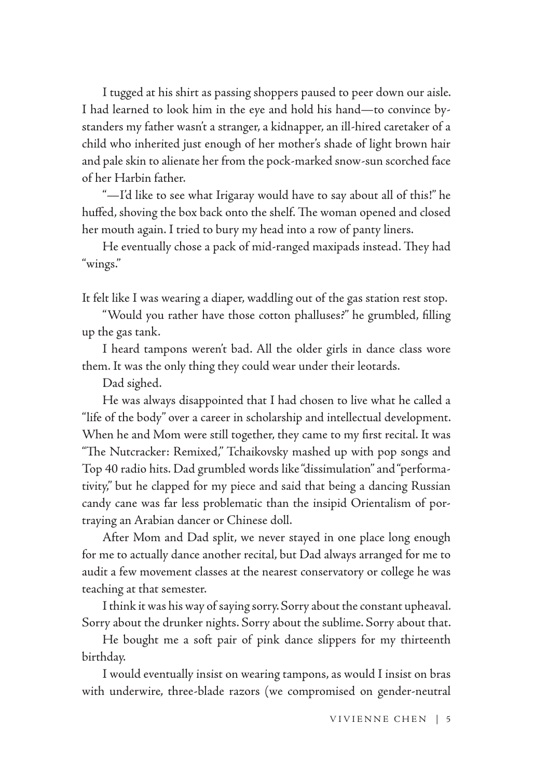I tugged at his shirt as passing shoppers paused to peer down our aisle. I had learned to look him in the eye and hold his hand—to convince bystanders my father wasn't a stranger, a kidnapper, an ill-hired caretaker of a child who inherited just enough of her mother's shade of light brown hair and pale skin to alienate her from the pock-marked snow-sun scorched face of her Harbin father.

"—I'd like to see what Irigaray would have to say about all of this!" he huffed, shoving the box back onto the shelf. The woman opened and closed her mouth again. I tried to bury my head into a row of panty liners.

He eventually chose a pack of mid-ranged maxipads instead. They had "wings."

It felt like I was wearing a diaper, waddling out of the gas station rest stop.

"Would you rather have those cotton phalluses?" he grumbled, filling up the gas tank.

I heard tampons weren't bad. All the older girls in dance class wore them. It was the only thing they could wear under their leotards.

Dad sighed.

He was always disappointed that I had chosen to live what he called a "life of the body" over a career in scholarship and intellectual development. When he and Mom were still together, they came to my first recital. It was "The Nutcracker: Remixed," Tchaikovsky mashed up with pop songs and Top 40 radio hits. Dad grumbled words like "dissimulation" and "performativity," but he clapped for my piece and said that being a dancing Russian candy cane was far less problematic than the insipid Orientalism of portraying an Arabian dancer or Chinese doll.

After Mom and Dad split, we never stayed in one place long enough for me to actually dance another recital, but Dad always arranged for me to audit a few movement classes at the nearest conservatory or college he was teaching at that semester.

I think it was his way of saying sorry. Sorry about the constant upheaval. Sorry about the drunker nights. Sorry about the sublime. Sorry about that.

He bought me a soft pair of pink dance slippers for my thirteenth birthday.

I would eventually insist on wearing tampons, as would I insist on bras with underwire, three-blade razors (we compromised on gender-neutral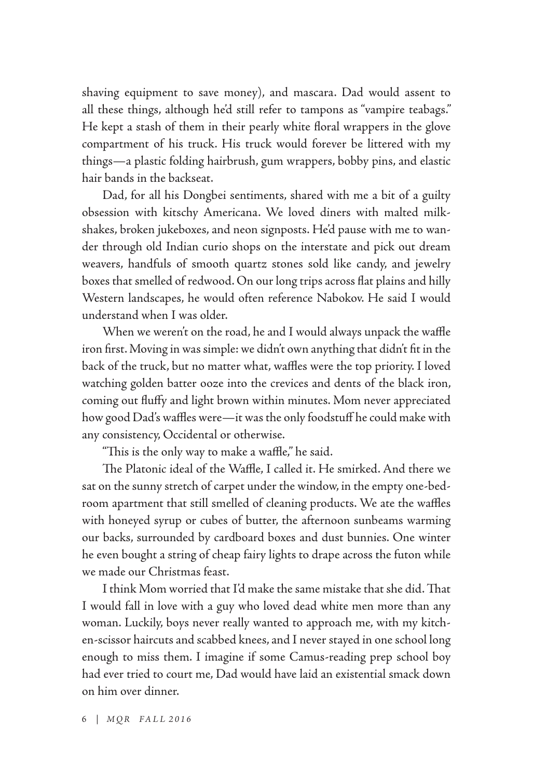shaving equipment to save money), and mascara. Dad would assent to all these things, although he'd still refer to tampons as "vampire teabags." He kept a stash of them in their pearly white floral wrappers in the glove compartment of his truck. His truck would forever be littered with my things—a plastic folding hairbrush, gum wrappers, bobby pins, and elastic hair bands in the backseat.

Dad, for all his Dongbei sentiments, shared with me a bit of a guilty obsession with kitschy Americana. We loved diners with malted milkshakes, broken jukeboxes, and neon signposts. He'd pause with me to wander through old Indian curio shops on the interstate and pick out dream weavers, handfuls of smooth quartz stones sold like candy, and jewelry boxes that smelled of redwood. On our long trips across flat plains and hilly Western landscapes, he would often reference Nabokov. He said I would understand when I was older.

When we weren't on the road, he and I would always unpack the waffle iron first. Moving in was simple: we didn't own anything that didn't fit in the back of the truck, but no matter what, waffles were the top priority. I loved watching golden batter ooze into the crevices and dents of the black iron, coming out fluffy and light brown within minutes. Mom never appreciated how good Dad's waffles were—it was the only foodstuff he could make with any consistency, Occidental or otherwise.

"This is the only way to make a waffle," he said.

The Platonic ideal of the Waffle, I called it. He smirked. And there we sat on the sunny stretch of carpet under the window, in the empty one-bedroom apartment that still smelled of cleaning products. We ate the waffles with honeyed syrup or cubes of butter, the afternoon sunbeams warming our backs, surrounded by cardboard boxes and dust bunnies. One winter he even bought a string of cheap fairy lights to drape across the futon while we made our Christmas feast.

I think Mom worried that I'd make the same mistake that she did. That I would fall in love with a guy who loved dead white men more than any woman. Luckily, boys never really wanted to approach me, with my kitchen-scissor haircuts and scabbed knees, and I never stayed in one school long enough to miss them. I imagine if some Camus-reading prep school boy had ever tried to court me, Dad would have laid an existential smack down on him over dinner.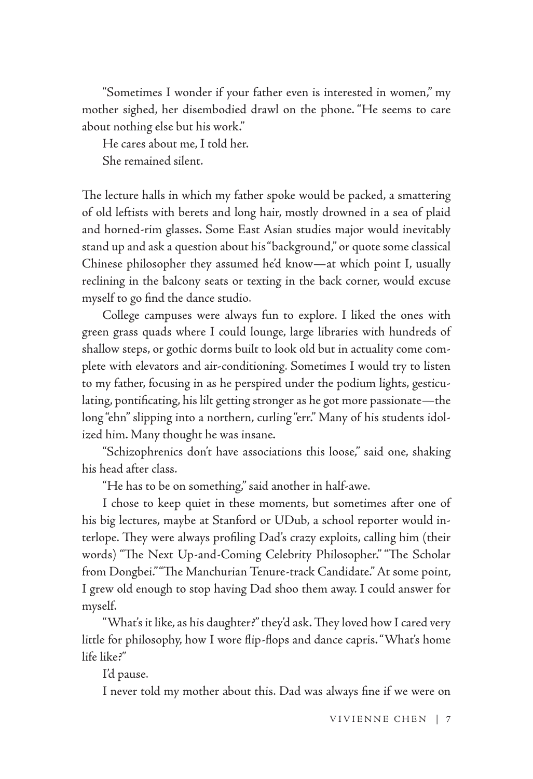"Sometimes I wonder if your father even is interested in women," my mother sighed, her disembodied drawl on the phone. "He seems to care about nothing else but his work."

He cares about me, I told her. She remained silent.

The lecture halls in which my father spoke would be packed, a smattering of old leftists with berets and long hair, mostly drowned in a sea of plaid and horned-rim glasses. Some East Asian studies major would inevitably stand up and ask a question about his "background," or quote some classical Chinese philosopher they assumed he'd know—at which point I, usually reclining in the balcony seats or texting in the back corner, would excuse myself to go find the dance studio.

College campuses were always fun to explore. I liked the ones with green grass quads where I could lounge, large libraries with hundreds of shallow steps, or gothic dorms built to look old but in actuality come complete with elevators and air-conditioning. Sometimes I would try to listen to my father, focusing in as he perspired under the podium lights, gesticulating, pontificating, his lilt getting stronger as he got more passionate—the long "ehn" slipping into a northern, curling "err." Many of his students idolized him. Many thought he was insane.

"Schizophrenics don't have associations this loose," said one, shaking his head after class.

"He has to be on something," said another in half-awe.

I chose to keep quiet in these moments, but sometimes after one of his big lectures, maybe at Stanford or UDub, a school reporter would interlope. They were always profiling Dad's crazy exploits, calling him (their words) "The Next Up-and-Coming Celebrity Philosopher." "The Scholar from Dongbei." "The Manchurian Tenure-track Candidate." At some point, I grew old enough to stop having Dad shoo them away. I could answer for myself.

"What's it like, as his daughter?" they'd ask. They loved how I cared very little for philosophy, how I wore flip-flops and dance capris. "What's home life like?"

I'd pause.

I never told my mother about this. Dad was always fine if we were on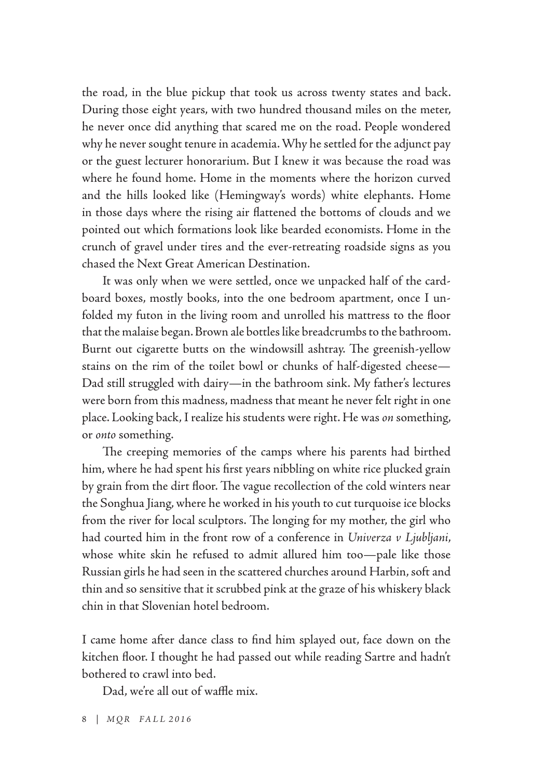the road, in the blue pickup that took us across twenty states and back. During those eight years, with two hundred thousand miles on the meter, he never once did anything that scared me on the road. People wondered why he never sought tenure in academia. Why he settled for the adjunct pay or the guest lecturer honorarium. But I knew it was because the road was where he found home. Home in the moments where the horizon curved and the hills looked like (Hemingway's words) white elephants. Home in those days where the rising air flattened the bottoms of clouds and we pointed out which formations look like bearded economists. Home in the crunch of gravel under tires and the ever-retreating roadside signs as you chased the Next Great American Destination.

It was only when we were settled, once we unpacked half of the cardboard boxes, mostly books, into the one bedroom apartment, once I unfolded my futon in the living room and unrolled his mattress to the floor that the malaise began. Brown ale bottles like breadcrumbs to the bathroom. Burnt out cigarette butts on the windowsill ashtray. The greenish-yellow stains on the rim of the toilet bowl or chunks of half-digested cheese— Dad still struggled with dairy—in the bathroom sink. My father's lectures were born from this madness, madness that meant he never felt right in one place. Looking back, I realize his students were right. He was *on* something, or *onto* something.

The creeping memories of the camps where his parents had birthed him, where he had spent his first years nibbling on white rice plucked grain by grain from the dirt floor. The vague recollection of the cold winters near the Songhua Jiang, where he worked in his youth to cut turquoise ice blocks from the river for local sculptors. The longing for my mother, the girl who had courted him in the front row of a conference in *Univerza v Ljubljani*, whose white skin he refused to admit allured him too—pale like those Russian girls he had seen in the scattered churches around Harbin, soft and thin and so sensitive that it scrubbed pink at the graze of his whiskery black chin in that Slovenian hotel bedroom.

I came home after dance class to find him splayed out, face down on the kitchen floor. I thought he had passed out while reading Sartre and hadn't bothered to crawl into bed.

Dad, we're all out of waffle mix.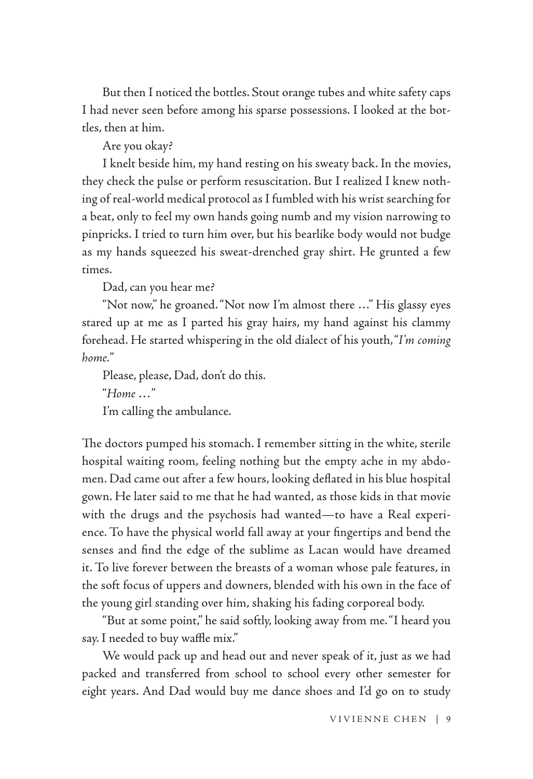But then I noticed the bottles. Stout orange tubes and white safety caps I had never seen before among his sparse possessions. I looked at the bottles, then at him.

Are you okay?

I knelt beside him, my hand resting on his sweaty back. In the movies, they check the pulse or perform resuscitation. But I realized I knew nothing of real-world medical protocol as I fumbled with his wrist searching for a beat, only to feel my own hands going numb and my vision narrowing to pinpricks. I tried to turn him over, but his bearlike body would not budge as my hands squeezed his sweat-drenched gray shirt. He grunted a few times.

Dad, can you hear me?

"Not now," he groaned. "Not now I'm almost there …" His glassy eyes stared up at me as I parted his gray hairs, my hand against his clammy forehead. He started whispering in the old dialect of his youth, "*I'm coming home.*"

Please, please, Dad, don't do this. "*Home …*" I'm calling the ambulance.

The doctors pumped his stomach. I remember sitting in the white, sterile hospital waiting room, feeling nothing but the empty ache in my abdomen. Dad came out after a few hours, looking deflated in his blue hospital gown. He later said to me that he had wanted, as those kids in that movie with the drugs and the psychosis had wanted—to have a Real experience. To have the physical world fall away at your fingertips and bend the senses and find the edge of the sublime as Lacan would have dreamed it. To live forever between the breasts of a woman whose pale features, in the soft focus of uppers and downers, blended with his own in the face of the young girl standing over him, shaking his fading corporeal body.

"But at some point," he said softly, looking away from me. "I heard you say. I needed to buy waffle mix."

We would pack up and head out and never speak of it, just as we had packed and transferred from school to school every other semester for eight years. And Dad would buy me dance shoes and I'd go on to study